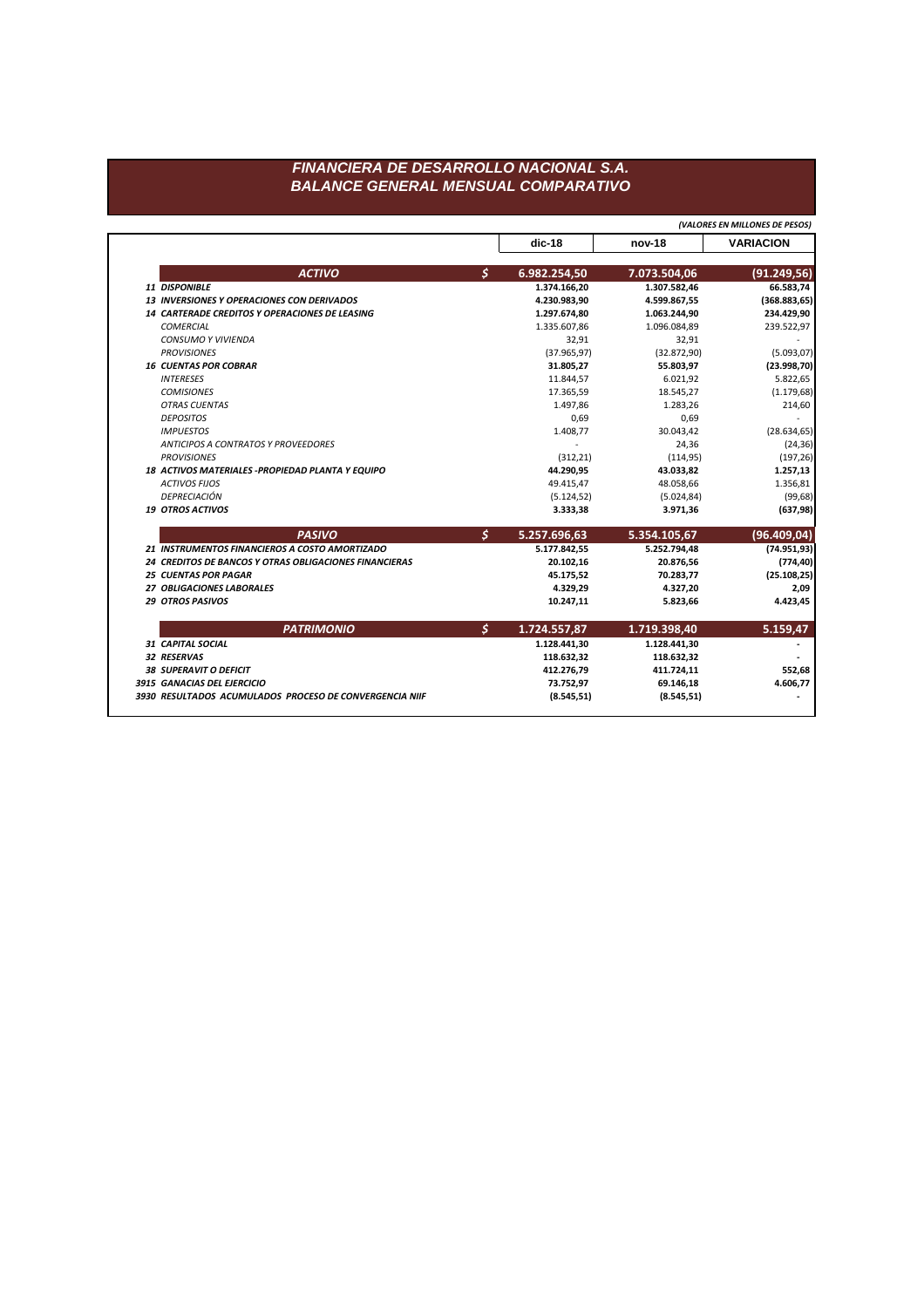## FINANCIERA DE DESARROLLO NACIONAL S.A. **BALANCE GENERAL MENSUAL COMPARATIVO**

(VALORES EN MILLONES DE PESOS)

| \$<br><b>ACTIVO</b><br>6.982.254,50<br>11 DISPONIBLE<br>1.374.166,20<br>13 INVERSIONES Y OPERACIONES CON DERIVADOS<br>4.230.983,90 | 7.073.504,06<br>1.307.582,46<br>4.599.867,55 | (91.249, 56)  |
|------------------------------------------------------------------------------------------------------------------------------------|----------------------------------------------|---------------|
|                                                                                                                                    |                                              |               |
|                                                                                                                                    |                                              | 66.583,74     |
|                                                                                                                                    |                                              | (368.883, 65) |
| 14 CARTERADE CREDITOS Y OPERACIONES DE LEASING<br>1.297.674,80                                                                     | 1.063.244,90                                 | 234.429,90    |
| <b>COMERCIAL</b><br>1.335.607,86                                                                                                   | 1.096.084,89                                 | 239.522,97    |
| <b>CONSUMO Y VIVIENDA</b><br>32,91                                                                                                 | 32,91                                        |               |
| <b>PROVISIONES</b><br>(37.965, 97)                                                                                                 | (32.872,90)                                  | (5.093, 07)   |
| <b>16 CUENTAS POR COBRAR</b><br>31.805,27                                                                                          | 55.803,97                                    | (23.998, 70)  |
| 11.844,57<br><b>INTERESES</b>                                                                                                      | 6.021,92                                     | 5.822,65      |
| <b>COMISIONES</b><br>17.365,59                                                                                                     | 18.545,27                                    | (1.179, 68)   |
| <b>OTRAS CUENTAS</b><br>1.497,86                                                                                                   | 1.283,26                                     | 214,60        |
| <b>DEPOSITOS</b><br>0,69                                                                                                           | 0,69                                         |               |
| <b>IMPUESTOS</b><br>1.408,77                                                                                                       | 30.043,42                                    | (28.634, 65)  |
| ANTICIPOS A CONTRATOS Y PROVEEDORES                                                                                                | 24,36                                        | (24, 36)      |
| <b>PROVISIONES</b><br>(312, 21)                                                                                                    | (114, 95)                                    | (197, 26)     |
| 44.290,95<br>18 ACTIVOS MATERIALES - PROPIEDAD PLANTA Y EQUIPO                                                                     | 43.033,82                                    | 1.257,13      |
| <b>ACTIVOS FIJOS</b><br>49.415,47                                                                                                  | 48.058,66                                    | 1.356,81      |
| DEPRECIACIÓN<br>(5.124, 52)                                                                                                        | (5.024, 84)                                  | (99, 68)      |
| <b>19 OTROS ACTIVOS</b><br>3.333,38                                                                                                | 3.971,36                                     | (637, 98)     |
| $\boldsymbol{\zeta}$<br><b>PASIVO</b><br>5.257.696,63                                                                              | 5.354.105,67                                 | (96.409, 04)  |
| 21 INSTRUMENTOS FINANCIEROS A COSTO AMORTIZADO<br>5.177.842,55                                                                     | 5.252.794,48                                 | (74.951, 93)  |
| 24 CREDITOS DE BANCOS Y OTRAS OBLIGACIONES FINANCIERAS<br>20.102,16                                                                | 20.876,56                                    | (774, 40)     |
| <b>25 CUENTAS POR PAGAR</b><br>45.175,52                                                                                           | 70.283,77                                    | (25.108, 25)  |
| 27 OBLIGACIONES LABORALES<br>4.329,29                                                                                              | 4.327,20                                     | 2,09          |
| <b>29 OTROS PASIVOS</b><br>10.247,11                                                                                               | 5.823,66                                     | 4.423,45      |
| \$<br><b>PATRIMONIO</b><br>1.724.557,87                                                                                            | 1.719.398,40                                 | 5.159,47      |
| 1.128.441,30<br><b>31 CAPITAL SOCIAL</b>                                                                                           | 1.128.441,30                                 |               |
| 32 RESERVAS<br>118.632,32                                                                                                          | 118.632,32                                   |               |
| <b>38 SUPERAVIT O DEFICIT</b><br>412.276,79                                                                                        | 411.724,11                                   | 552,68        |
| 3915 GANACIAS DEL EJERCICIO<br>73.752,97                                                                                           | 69.146,18                                    | 4.606,77      |
| 3930 RESULTADOS ACUMULADOS PROCESO DE CONVERGENCIA NIIF<br>(8.545, 51)                                                             | (8.545, 51)                                  |               |